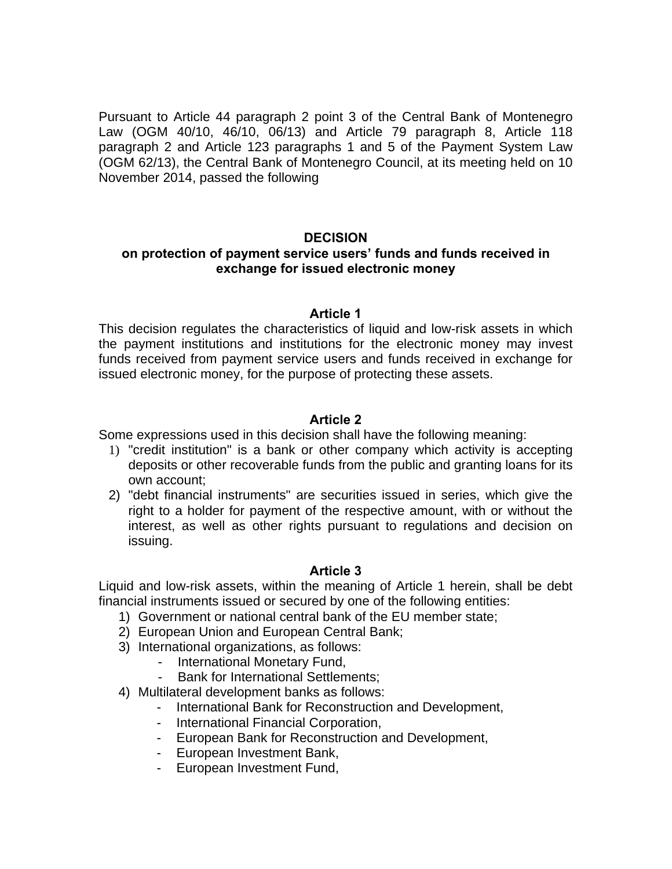Pursuant to Article 44 paragraph 2 point 3 of the Central Bank of Montenegro Law (OGM 40/10, 46/10, 06/13) and Article 79 paragraph 8, Article 118 paragraph 2 and Article 123 paragraphs 1 and 5 of the Payment System Law (OGM 62/13), the Central Bank of Montenegro Council, at its meeting held on 10 November 2014, passed the following

# **DECISION**

# **on protection of payment service users' funds and funds received in exchange for issued electronic money**

### **Article 1**

This decision regulates the characteristics of liquid and low-risk assets in which the payment institutions and institutions for the electronic money may invest funds received from payment service users and funds received in exchange for issued electronic money, for the purpose of protecting these assets.

# **Article 2**

Some expressions used in this decision shall have the following meaning:

- 1) "credit institution" is a bank or other company which activity is accepting deposits or other recoverable funds from the public and granting loans for its own account;
- 2) "debt financial instruments" are securities issued in series, which give the right to a holder for payment of the respective amount, with or without the interest, as well as other rights pursuant to regulations and decision on issuing.

# **Article 3**

Liquid and low-risk assets, within the meaning of Article 1 herein, shall be debt financial instruments issued or secured by one of the following entities:

- 1) Government or national central bank of the EU member state;
- 2) European Union and European Central Bank;
- 3) International organizations, as follows:
	- International Monetary Fund,
	- Bank for International Settlements;
- 4) Multilateral development banks as follows:
	- International Bank for Reconstruction and Development,
	- International Financial Corporation,
	- European Bank for Reconstruction and Development,
	- European Investment Bank,
	- European Investment Fund,